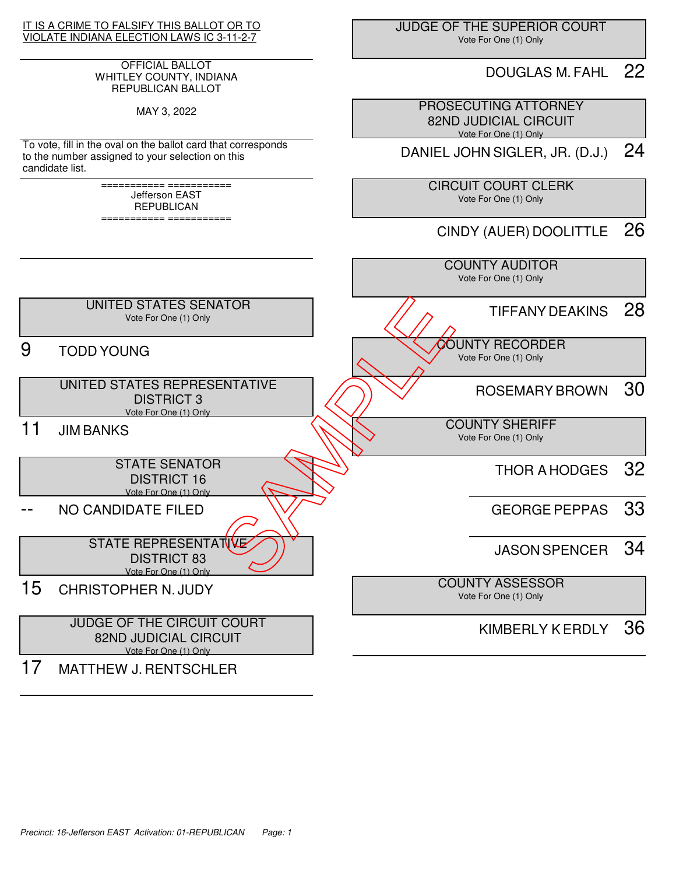

#### OFFICIAL BALLOT WHITLEY COUNTY, INDIANA REPUBLICAN BALLOT

MAY 3, 2022

To vote, fill in the oval on the ballot card that corresponds to the number assigned to your selection on this candidate list.

> =========== =========== Jefferson EAST REPUBLICAN

> =========== ===========

 JUDGE OF THE SUPERIOR COURT Vote For One (1) Only

## DOUGLAS M. FAHL 22

 PROSECUTING ATTORNEY 82ND JUDICIAL CIRCUIT Vote For One (1) Only

DANIEL JOHN SIGLER, JR. (D.J.) 24

 CIRCUIT COURT CLERK Vote For One (1) Only

CINDY (AUER) DOOLITTLE 26

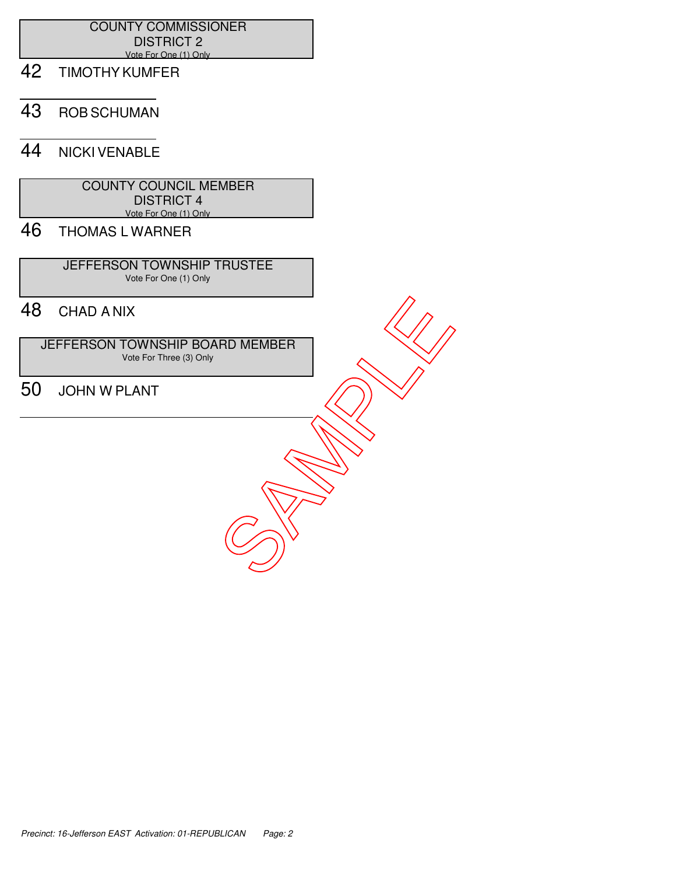### COUNTY COMMISSIONER DISTRICT 2 Vote For One (1) Only

- 42 TIMOTHY KUMFER
- 43 ROB SCHUMAN

## 44 NICKI VENABLE

 COUNTY COUNCIL MEMBER DISTRICT 4 Vote For One (1) Only

# 46 THOMAS L WARNER

 JEFFERSON TOWNSHIP TRUSTEE Vote For One (1) Only

# 48 CHAD A NIX

 JEFFERSON TOWNSHIP BOARD MEMBER Vote For Three (3) Only

48 CHAD A NIX<br>
JEFFERSON TOWNSHIP BOARD MEMBER<br>50 JOHN W PLANT<br>
SAMPLANT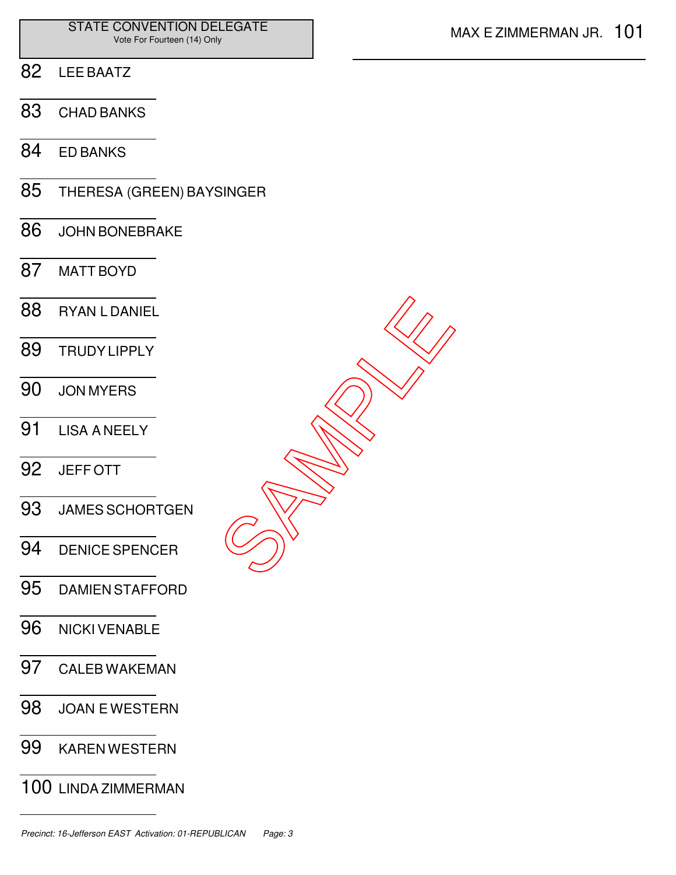- LEE BAATZ
- CHAD BANKS
- ED BANKS
- THERESA (GREEN) BAYSINGER
- JOHN BONEBRAKE
- MATT BOYD
- RYAN L DANIEL TRUDY LIPPLY JON MYERS LISA A NEELY JEFF OTT JAMES SCHORTGEN DENICE SPENCER DAMIEN STAFFORD SAMPLE<br>SAMPLE
- NICKI VENABLE
- CALEB WAKEMAN
- JOAN E WESTERN
- KAREN WESTERN
- LINDA ZIMMERMAN

Precinct: 16-Jefferson EAST Activation: 01-REPUBLICAN Page: 3